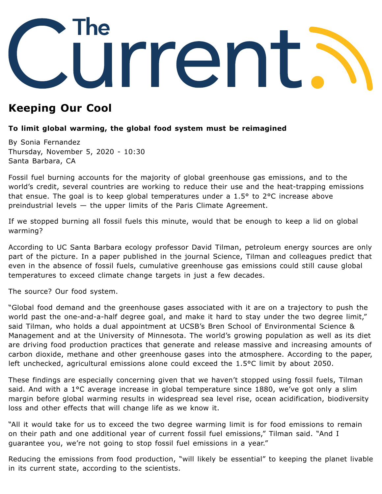

## **Keeping Our Cool**

## **To limit global warming, the global food system must be reimagined**

By Sonia Fernandez Thursday, November 5, 2020 - 10:30 Santa Barbara, CA

Fossil fuel burning accounts for the majority of global greenhouse gas emissions, and to the world's credit, several countries are working to reduce their use and the heat-trapping emissions that ensue. The goal is to keep global temperatures under a 1.5° to 2°C increase above preindustrial levels — the upper limits of the Paris Climate Agreement.

If we stopped burning all fossil fuels this minute, would that be enough to keep a lid on global warming?

According to UC Santa Barbara ecology professor David [Tilman](https://bren.ucsb.edu/people/david-tilman), petroleum energy sources are only part of the picture. In a [paper](https://science.sciencemag.org/content/370/6517/705) published in the journal Science, Tilman and colleagues predict that even in the absence of fossil fuels, cumulative greenhouse gas emissions could still cause global temperatures to exceed climate change targets in just a few decades.

The source? Our food system.

"Global food demand and the greenhouse gases associated with it are on a trajectory to push the world past the one-and-a-half degree goal, and make it hard to stay under the two degree limit," said Tilman, who holds a dual appointment at UCSB's Bren School of Environmental Science & Management and at the University of Minnesota. The world's growing population as well as its diet are driving food production practices that generate and release massive and increasing amounts of carbon dioxide, methane and other greenhouse gases into the atmosphere. According to the paper, left unchecked, agricultural emissions alone could exceed the 1.5°C limit by about 2050.

These findings are especially concerning given that we haven't stopped using fossil fuels, Tilman said. And with a 1°C average increase in global temperature since 1880, we've got only a slim margin before global warming results in widespread sea level rise, ocean acidification, biodiversity loss and other effects that will change life as we know it.

"All it would take for us to exceed the two degree warming limit is for food emissions to remain on their path and one additional year of current fossil fuel emissions," Tilman said. "And I guarantee you, we're not going to stop fossil fuel emissions in a year."

Reducing the emissions from food production, "will likely be essential" to keeping the planet livable in its current state, according to the scientists.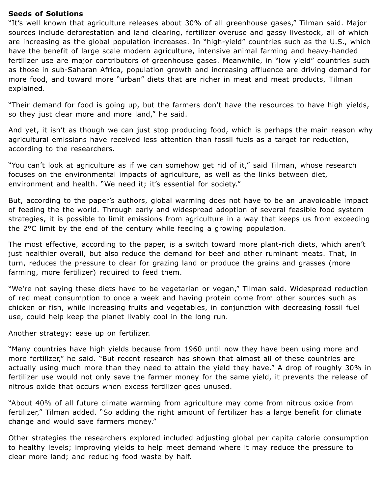## **Seeds of Solutions**

"It's well known that agriculture releases about 30% of all greenhouse gases," Tilman said. Major sources include deforestation and land clearing, fertilizer overuse and gassy livestock, all of which are increasing as the global population increases. In "high-yield" countries such as the U.S., which have the benefit of large scale modern agriculture, intensive animal farming and heavy-handed fertilizer use are major contributors of greenhouse gases. Meanwhile, in "low yield" countries such as those in sub-Saharan Africa, population growth and increasing affluence are driving demand for more food, and toward more "urban" diets that are richer in meat and meat products, Tilman explained.

"Their demand for food is going up, but the farmers don't have the resources to have high yields, so they just clear more and more land," he said.

And yet, it isn't as though we can just stop producing food, which is perhaps the main reason why agricultural emissions have received less attention than fossil fuels as a target for reduction, according to the researchers.

"You can't look at agriculture as if we can somehow get rid of it," said Tilman, whose research focuses on the [environmental](https://www.news.ucsb.edu/2014/014503/linking-diet-human-and-environmental-health) impacts of agriculture, as well as the links between diet, environment and health. "We need it; it's essential for society."

But, according to the paper's authors, global warming does not have to be an unavoidable impact of feeding the the world. Through early and widespread adoption of several feasible food system strategies, it is possible to limit emissions from agriculture in a way that keeps us from exceeding the 2°C limit by the end of the century while feeding a growing population.

The most effective, according to the paper, is a switch toward more plant-rich diets, which aren't just healthier overall, but also reduce the demand for beef and other ruminant meats. That, in turn, reduces the pressure to clear for grazing land or produce the grains and grasses (more farming, more fertilizer) required to feed them.

"We're not saying these diets have to be vegetarian or vegan," Tilman said. Widespread reduction of red meat consumption to once a week and having protein come from other sources such as chicken or fish, while increasing fruits and vegetables, in conjunction with decreasing fossil fuel use, could help keep the planet livably cool in the long run.

Another strategy: ease up on fertilizer.

"Many countries have high yields because from 1960 until now they have been using more and more fertilizer," he said. "But recent research has shown that almost all of these countries are actually using much more than they need to attain the yield they have." A drop of roughly 30% in fertilizer use would not only save the farmer money for the same yield, it prevents the release of nitrous oxide that occurs when excess fertilizer goes unused.

"About 40% of all future climate warming from agriculture may come from nitrous oxide from fertilizer," Tilman added. "So adding the right amount of fertilizer has a large benefit for climate change and would save farmers money."

Other strategies the researchers explored included adjusting global per capita calorie consumption to healthy levels; improving yields to help meet demand where it may reduce the pressure to clear more land; and reducing food waste by half.